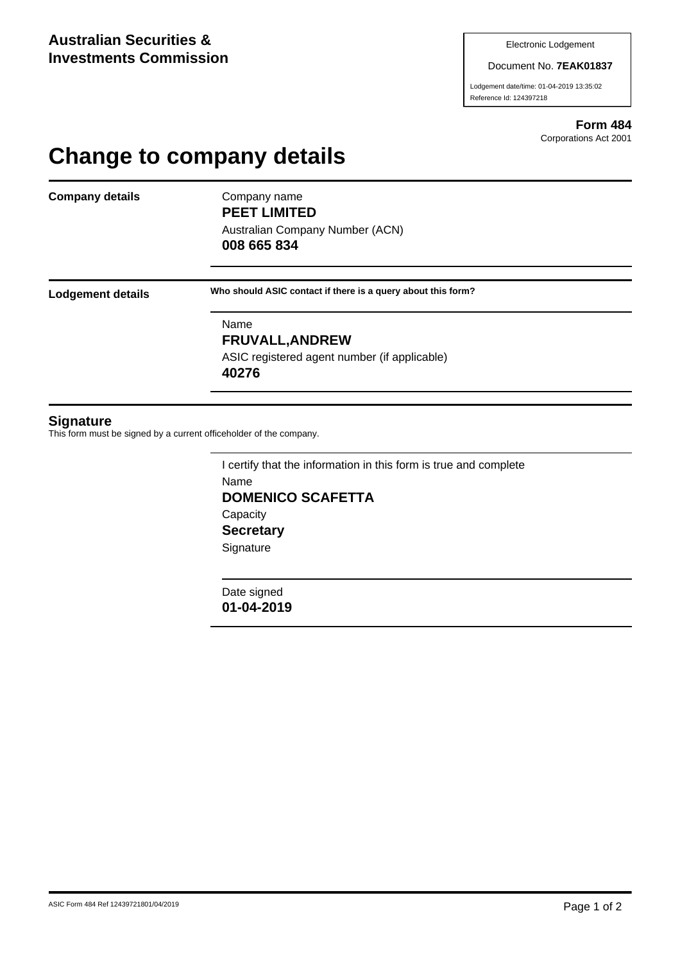#### Document No. **7EAK01837**

Lodgement date/time: 01-04-2019 13:35:02 Reference Id: 124397218

> **Form 484** Corporations Act 2001

# **Change to company details**

**Company details** Company name

**PEET LIMITED**

Australian Company Number (ACN) **008 665 834**

**Lodgement details Who should ASIC contact if there is a query about this form?**

Name **FRUVALL,ANDREW** ASIC registered agent number (if applicable) **40276**

### **Signature**

This form must be signed by a current officeholder of the company.

I certify that the information in this form is true and complete Name **DOMENICO SCAFETTA Capacity Secretary Signature** 

Date signed **01-04-2019**